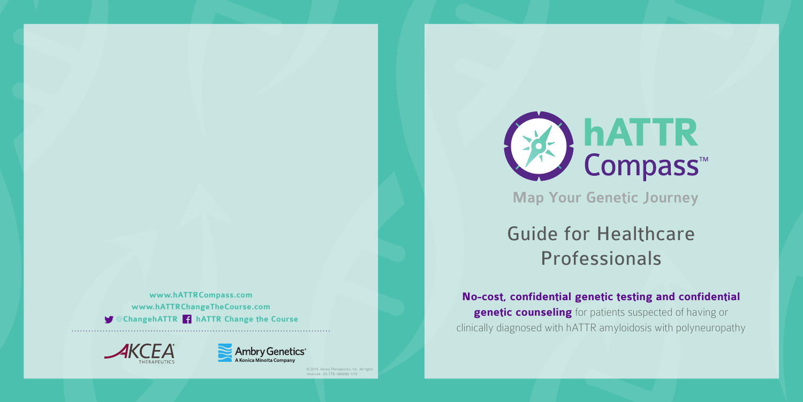## Guide for Healthcare Professionals

**No-cost, confidential genetic testing and confidential genetic counseling** for patients suspected of having or clinically diagnosed with hATTR amyloidosis with polyneuropathy

# **hATTR**<br>Compass™ **Map Your Genetic Journey**

© 2019. Akcea Therapeutics, Inc. All rights reserved. US-TTR-1800082 1/19



**www.hATTRCompass.com www.hATTRChangeTheCourse.com**  @**ChangehATTR hATTR Change the Course**



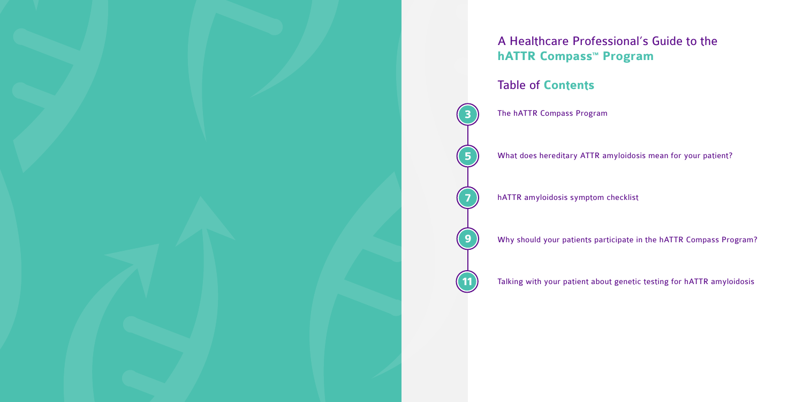What does hereditary ATTR amyloidosis mean for your patient?

Why should your patients participate in the hATTR Compass Program?



Talking with your patient about genetic testing for hATTR amyloidosis

## A Healthcare Professional's Guide to the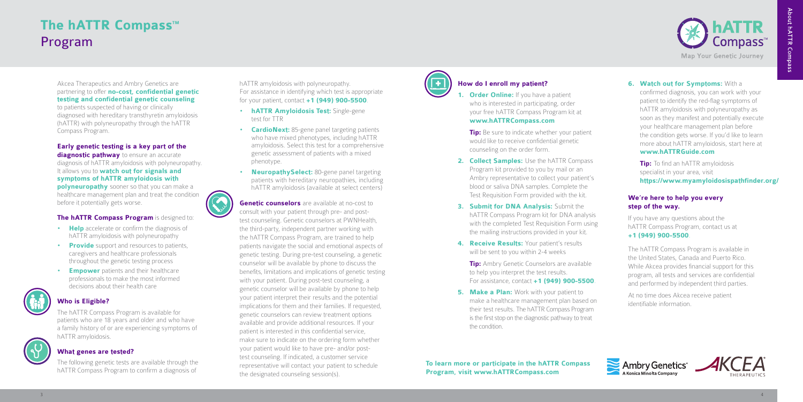Akcea Therapeutics and Ambry Genetics are partnering to offer **no-cost, confidential genetic testing and confidential genetic counseling**

to patients suspected of having or clinically diagnosed with hereditary transthyretin amyloidosis (hATTR) with polyneuropathy through the hATTR Compass Program.

#### **Early genetic testing is a key part of the**

**diagnostic pathway** to ensure an accurate diagnosis of hATTR amyloidosis with polyneuropathy. It allows you to **watch out for signals and symptoms of hATTR amyloidosis with polyneuropathy** sooner so that you can make a healthcare management plan and treat the condition before it potentially gets worse.

#### **The hATTR Compass Program** is designed to:

- **Help** accelerate or confirm the diagnosis of hATTR amyloidosis with polyneuropathy
- **Provide** support and resources to patients, caregivers and healthcare professionals throughout the genetic testing process
- **Empower** patients and their healthcare professionals to make the most informed decisions about their health care



#### **Who is Eligible?**

The hATTR Compass Program is available for patients who are 18 years and older and who have a family history of or are experiencing symptoms of hATTR amyloidosis.



#### **What genes are tested?**

The following genetic tests are available through the hATTR Compass Program to confirm a diagnosis of

hATTR amyloidosis with polyneuropathy. For assistance in identifying which test is appropriate for your patient, contact **+1 (949) 900-5500**.

**1. Order Online:** If you have a patient who is interested in participating, order your free hATTR Compass Program kit at **www.hATTRCompass.com**

**Tip:** Be sure to indicate whether your patient would like to receive confidential genetic counseling on the order form.

- 2. **Collect Samples:** Use the hATTR Compass Program kit provided to you by mail or an Ambry representative to collect your patient's blood or saliva DNA samples. Complete the Test Requisition Form provided with the kit.
- **3. Submit for DNA Analysis:** Submit the hATTR Compass Program kit for DNA analysis with the completed Test Requisition Form using the mailing instructions provided in your kit.
- **4. Receive Results:** Your patient's results will be sent to you within 2-4 weeks

**Tip:** Ambry Genetic Counselors are available to help you interpret the test results. For assistance, contact **+1 (949) 900-5500**.

**5. Make a Plan:** Work with your patient to make a healthcare management plan based on their test results. The hATTR Compass Program is the first stop on the diagnostic pathway to treat the condition.

- **hATTR Amyloidosis Test:** Single-gene test for TTR
- **CardioNext:** 85-gene panel targeting patients who have mixed phenotypes, including hATTR amyloidosis. Select this test for a comprehensive genetic assessment of patients with a mixed phenotype.
- **NeuropathySelect:** 80-gene panel targeting patients with hereditary neuropathies, including hATTR amyloidosis (available at select centers)
- **Genetic counselors** are available at no-cost to consult with your patient through pre- and posttest counseling. Genetic counselors at PWNHealth, the third-party, independent partner working with the hATTR Compass Program, are trained to help patients navigate the social and emotional aspects of genetic testing. During pre-test counseling, a genetic counselor will be available by phone to discuss the benefits, limitations and implications of genetic testing with your patient. During post-test counseling, a genetic counselor will be available by phone to help your patient interpret their results and the potential implications for them and their families. If requested, genetic counselors can review treatment options available and provide additional resources. If your patient is interested in this confidential service, make sure to indicate on the ordering form whether your patient would like to have pre- and/or posttest counseling. If indicated, a customer service representative will contact your patient to schedule the designated counseling session(s).



- **6. Watch out for Symptoms:** With a confirmed diagnosis, you can work with your patient to identify the red-flag symptoms of hATTR amyloidosis with polyneuropathy as soon as they manifest and potentially execute your healthcare management plan before the condition gets worse. If you'd like to learn more about hATTR amyloidosis, start here at **www.hATTRGuide.com**
	- **Tip:** To find an hATTR amyloidosis specialist in your area, visit **https://www.myamyloidosispathfinder.org/**

## **The hATTR Compass<sup>™</sup>** Program

### **How do I enroll my patient?**

#### **We're here to help you every step of the way.**

If you have any questions about the hATTR Compass Program, contact us at **+1 (949) 900-5500**.

The hATTR Compass Program is available in the United States, Canada and Puerto Rico. While Akcea provides financial support for this program, all tests and services are confidential and performed by independent third parties.

At no time does Akcea receive patient identifiable information.





**To learn more or participate in the hATTR Compass Program, visit www.hATTRCompass.com**

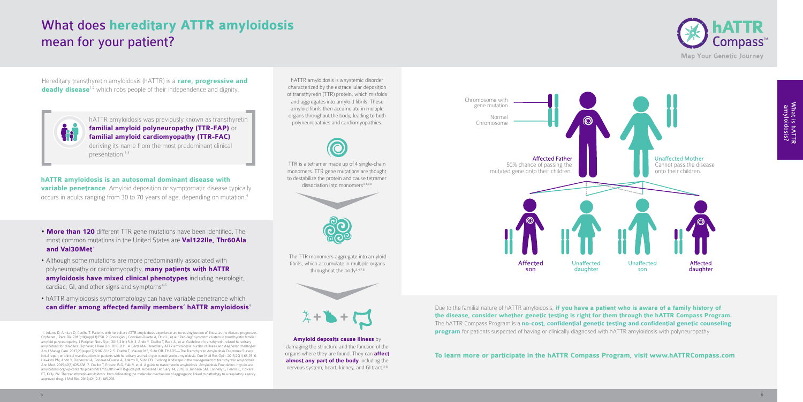hATTR amyloidosis is a systemic disorder characterized by the extracellular deposition of transthyretin (TTR) protein, which misfolds and aggregates into amyloid fibrils. These amyloid fibrils then accumulate in multiple organs throughout the body, leading to both polyneuropathies and cardiomyopathies.



Hereditary transthyretin amyloidosis (hATTR) is a **rare, progressive and deadly disease**<sup>1,2</sup> which robs people of their independence and dignity.



**hATTR amyloidosis is an autosomal dominant disease with variable penetrance**. Amyloid deposition or symptomatic disease typically occurs in adults ranging from 30 to 70 years of age, depending on mutation.4

> **Amyloid deposits cause illness** by damaging the structure and the function of the organs where they are found. They can **affect almost any part of the body** including the nervous system, heart, kidney, and GI tract.<sup>3-8</sup>

TTR is a tetramer made up of 4 single-chain monomers. TTR gene mutations are thought to destabilize the protein and cause tetramer  $dissection$  into monomers $3,4,7,8$ .



Due to the familial nature of hATTR amyloidosis, **if you have a patient who is aware of a family history of the disease, consider whether genetic testing is right for them through the hATTR Compass Program.** The hATTR Compass Program is a **no-cost, confidential genetic testing and confidential genetic counseling program** for patients suspected of having or clinically diagnosed with hATTR amyloidosis with polyneuropathy.

- **More than 120** different TTR gene mutations have been identified. The most common mutations in the United States are **Val122Ile, Thr60Ala**  and Val30Met<sup>4</sup>
- Although some mutations are more predominantly associated with polyneuropathy or cardiomyopathy, **many patients with hATTR amyloidosis have mixed clinical phenotypes** including neurologic, cardiac, GI, and other signs and symptoms $4-6$
- hATTR amyloidosis symptomatology can have variable penetrance which **can differ among affected family members' hATTR amyloidosis**<sup>4</sup>

The TTR monomers aggregate into amyloid fibrils, which accumulate in multiple organs throughout the body3,4,7,8





**To learn more or participate in the hATTR Compass Program, visit www.hATTRCompass.com**

## What does **hereditary ATTR amyloidosis**  mean for your patient?

hATTR amyloidosis was previously known as transthyretin **familial amyloid polyneuropathy (TTR-FAP)** or **familial amyloid cardiomyopathy (TTR-FAC)** deriving its name from the most predominant clinical presentation.3,4

 1. Adams D, Amitay O, Coelho T. Patients with hereditary ATTR amyloidosis experience an increasing burden of illness as the disease progresses. Orphanet J Rare Dis. 2015;10(suppl 1):P58. 2. Conceição I, González-Duarte A, Obici L, et al. "Red-flag" symptom clusters in transthyretin familial amyloid polyneuropathy. J Peripher Nerv Syst. 2016;21(1):5-9. 3. Ando Y, Coelho T, Berk JL, et al. Guideline of transthyretin-related hereditary amyloidosis for clinicians. Orphanet J Rare Dis. 2013;8:31. 4. Gertz MA. Hereditary ATTR amyloidosis: burden of illness and diagnostic challenges. Am J Manag Care. 2017;23(suppl 7):S107-S112. 5. Coelho T, Maurer MS, Suhr OB. THAOS—The Transthyretin Amyloidosis Outcomes Survey: initial report on clinical manifestations in patients with hereditary and wild-type transthyretin amyloidosis. Curr Med Res Opin. 2013;29(1):63-76. 6. Hawkins PN, Ando Y, Dispenzeri A, Gonzalez-Duarte A, Adams D, Suhr OB. Evolving landscape in the management of transthyretin amyloidosis. Ann Med. 2015;47(8):625-638. 7. Coelho T, Ericzon B-G, Falk R, et al. A guide to transthyretin amyloidosis. Amyloidosis Foundation. http://www. amyloidosis.org/wp-content/uploads/2017/05/2017-ATTR-guide.pdf. Accessed February 14, 2018. 8. Johnson SM, Connelly S, Fearns C, Powers ET, Kelly JW. The transthyretin amyloidosis: from delineating the molecular mechanism of aggregation linked to pathology to a regulatory agency approved drug. J Mol Biol. 2012;421(2-3):185-203.



What is hATTR<br>amyloidosis?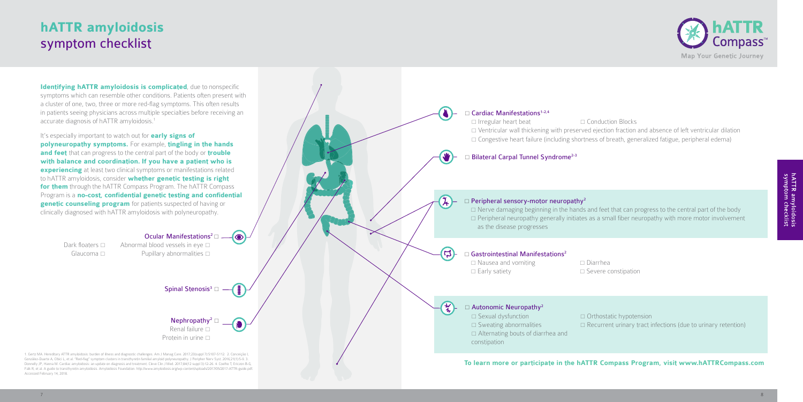## **hATTR amyloidosis**  symptom checklist

 Ventricular wall thickening with preserved ejection fraction and absence of left ventricular dilation  $\Box$  Congestive heart failure (including shortness of breath, generalized fatigue, peripheral edema)

 $\Box$  Nerve damaging beginning in the hands and feet that can progress to the central part of the body  $\Box$  Peripheral neuropathy generally initiates as a small fiber neuropathy with more motor involvement

 $\Box$  Sweating abnormalities  $\Box$  Recurrent urinary tract infections (due to urinary retention)



**Identifying hATTR amyloidosis is complicated**, due to nonspecific symptoms which can resemble other conditions. Patients often present with a cluster of one, two, three or more red-flag symptoms. This often results in patients seeing physicians across multiple specialties before receiving an accurate diagnosis of hATTR amyloidosis.1

It's especially important to watch out for **early signs of polyneuropathy symptoms.** For example, **tingling in the hands and feet** that can progress to the central part of the body or **trouble with balance and coordination. If you have a patient who is experiencing** at least two clinical symptoms or manifestations related to hATTR amyloidosis, consider **whether genetic testing is right for them** through the hATTR Compass Program. The hATTR Compass Program is a **no-cost, confidential genetic testing and confidential genetic counseling program** for patients suspected of having or clinically diagnosed with hATTR amyloidosis with polyneuropathy.

#### Ocular Manifestations<sup>2</sup> $\Box$

Dark floaters  $\Box$  Abnormal blood vessels in eye  $\Box$ Glaucoma  $\square$  Pupillary abnormalities  $\square$ 

Spinal Stenosis<sup>3</sup>  $\Box$ 

 $\bullet$ 

Nephropathy<sup>2</sup>  $\Box$ Renal failure  $\square$ Protein in urine  $\square$ 

1. Gertz MA. Hereditary ATTR amyloidosis: burden of illness and diagnostic challenges. Am J Manag Care. 2017;23(suppl 7):S107-S112. 2. Conceição I, González-Duarte A, Obici L, et al. "Red-flag" symptom clusters in transthyretin familial amyloid polyneuropathy. J Peripher Nerv Syst. 2016;21(1):5-9. 3. Donnelly JP, Hanna M. Cardiac amyloidosis: an update on diagnosis and treatment. Cleve Clin J Med. 2017;84(12 suppl 3):12-26. 4. Coelho T, Ericzon B-G, Falk R, et al. A guide to transthyretin amyloidosis. Amyloidosis Foundation. http://www.amyloidosis.org/wp-content/uploads/2017/05/2017-ATTR-guide.pdf. Accessed February 14, 2018.

**To learn more or participate in the hATTR Compass Program, visit www.hATTRCompass.com**

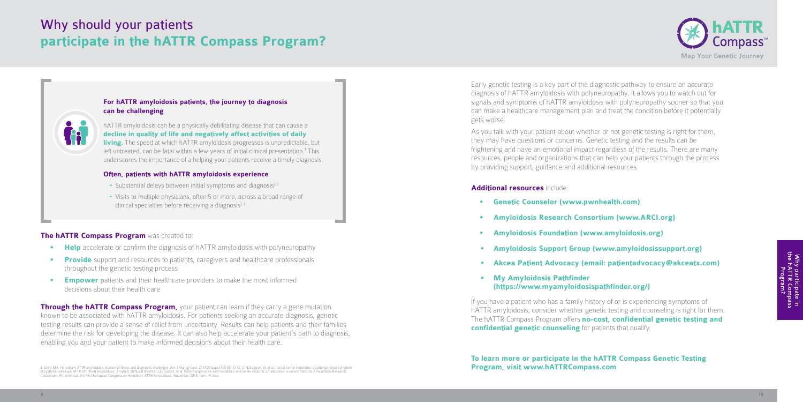Early genetic testing is a key part of the diagnostic pathway to ensure an accurate diagnosis of hATTR amyloidosis with polyneuropathy. It allows you to watch out for signals and symptoms of hATTR amyloidosis with polyneuropathy sooner so that you can make a healthcare management plan and treat the condition before it potentially gets worse.

As you talk with your patient about whether or not genetic testing is right for them, they may have questions or concerns. Genetic testing and the results can be frightening and have an emotional impact regardless of the results. There are many resources, people and organizations that can help your patients through the process by providing support, guidance and additional resources.

#### **Additional resources** include:

- **• Genetic Counselor (www.pwnhealth.com)**
- **• Amyloidosis Research Consortium (www.ARCI.org)**
- **• Amyloidosis Foundation (www.amyloidosis.org)**
- **• Amyloidosis Support Group (www.amyloidosissupport.org)**
- **• Akcea Patient Advocacy (email: patientadvocacy@akceatx.com)**
- **• My Amyloidosis Pathfinder (https://www.myamyloidosispathfinder.org/)**

If you have a patient who has a family history of or is experiencing symptoms of hATTR amyloidosis, consider whether genetic testing and counseling is right for them. The hATTR Compass Program offers **no-cost, confidential genetic testing and confidential genetic counseling** for patients that qualify.

## Why should your patients **participate in the hATTR Compass Program?**

**Through the hATTR Compass Program,** your patient can learn if they carry a gene mutation known to be associated with hATTR amyloidosis. For patients seeking an accurate diagnosis, genetic testing results can provide a sense of relief from uncertainty. Results can help patients and their families determine the risk for developing the disease. It can also help accelerate your patient's path to diagnosis, enabling you and your patient to make informed decisions about their health care.

1. Gertz MA. Hereditary ATTR amyloidosis: burden of illness and diagnostic challenges. Am J Manag Care. 2017;23(suppl 7):S107-S112. 2. Nakagawa M, et al. Carpal tunnel syndrome: a common initial symptom<br>of systemic wild-ty



#### **The hATTR Compass Program** was created to:

- **Help** accelerate or confirm the diagnosis of hATTR amyloidosis with polyneuropathy
- **Provide** support and resources to patients, caregivers and healthcare professionals throughout the genetic testing process
- **Empower** patients and their healthcare providers to make the most informed decisions about their health care

**To learn more or participate in the hATTR Compass Genetic Testing Program, visit www.hATTRCompass.com**



Why participate in<br>the hATTR Compass<br>Program?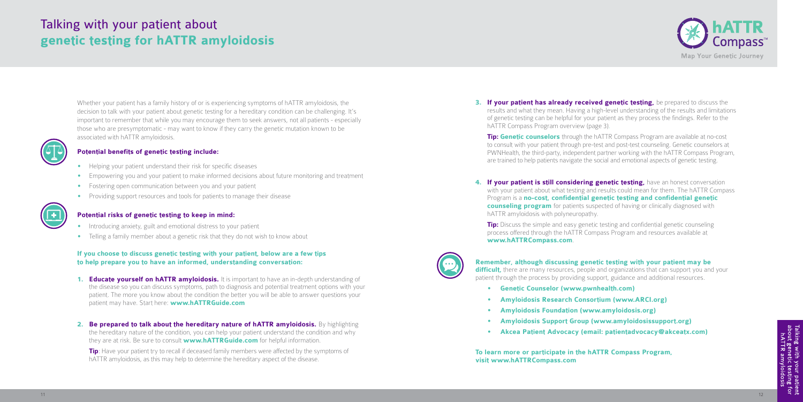**3. If your patient has already received genetic testing,** be prepared to discuss the results and what they mean. Having a high-level understanding of the results and limitations of genetic testing can be helpful for your patient as they process the findings. Refer to the hATTR Compass Program overview (page 3).

**Tip: Genetic counselors** through the hATTR Compass Program are available at no-cost to consult with your patient through pre-test and post-test counseling. Genetic counselors at PWNHealth, the third-party, independent partner working with the hATTR Compass Program, are trained to help patients navigate the social and emotional aspects of genetic testing.

**4. If your patient is still considering genetic testing, have an honest conversation** with your patient about what testing and results could mean for them. The hATTR Compass Program is a **no-cost, confidential genetic testing and confidential genetic counseling program** for patients suspected of having or clinically diagnosed with

Talking with your patient<br>about genetic testing for<br>hATTR amyloidosis

**Tip:** Discuss the simple and easy genetic testing and confidential genetic counseling process offered through the hATTR Compass Program and resources available at **www.hATTRCompass.com**.



## hATTR amyloidosis with polyneuropathy.

**Remember, although discussing genetic testing with your patient may be difficult**, there are many resources, people and organizations that can support you and your patient through the process by providing support, guidance and additional resources.

- **• Genetic Counselor (www.pwnhealth.com)**
- **• Amyloidosis Research Consortium (www.ARCI.org)**
- **• Amyloidosis Foundation (www.amyloidosis.org)**
- **• Amyloidosis Support Group (www.amyloidosissupport.org)**
- **• Akcea Patient Advocacy (email: patientadvocacy@akceatx.com)**

**To learn more or participate in the hATTR Compass Program, visit www.hATTRCompass.com**



- **1. Educate yourself on hATTR amyloidosis.** It is important to have an in-depth understanding of the disease so you can discuss symptoms, path to diagnosis and potential treatment options with your patient. The more you know about the condition the better you will be able to answer questions your patient may have. Start here: **www.hATTRGuide.com**
- 2. **Be prepared to talk about the hereditary nature of hATTR amyloidosis.** By highlighting the hereditary nature of the condition, you can help your patient understand the condition and why they are at risk. Be sure to consult **www.hATTRGuide.com** for helpful information.

**Tip:** Have your patient try to recall if deceased family members were affected by the symptoms of hATTR amyloidosis, as this may help to determine the hereditary aspect of the disease.

### Talking with your patient about **genetic testing for hATTR amyloidosis**

Whether your patient has a family history of or is experiencing symptoms of hATTR amyloidosis, the decision to talk with your patient about genetic testing for a hereditary condition can be challenging. It's important to remember that while you may encourage them to seek answers, not all patients - especially those who are presymptomatic - may want to know if they carry the genetic mutation known to be associated with hATTR amyloidosis.



#### **Potential benefits of genetic testing include:**

- Helping your patient understand their risk for specific diseases
- Empowering you and your patient to make informed decisions about future monitoring and treatment
- Fostering open communication between you and your patient
- Providing support resources and tools for patients to manage their disease



#### **Potential risks of genetic testing to keep in mind:**

- Introducing anxiety, guilt and emotional distress to your patient
- Telling a family member about a genetic risk that they do not wish to know about

#### **If you choose to discuss genetic testing with your patient, below are a few tips to help prepare you to have an informed, understanding conversation:**